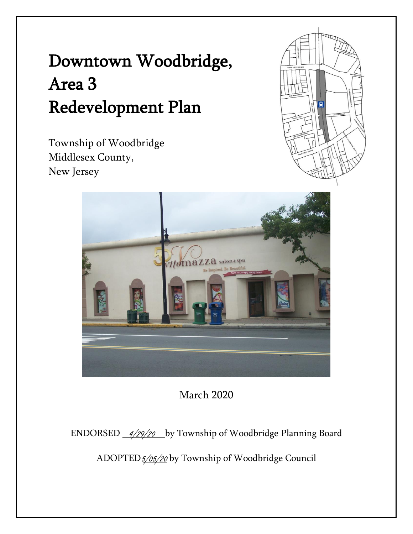Township of Woodbridge Middlesex County, New Jersey





March 2020

ENDORSED \_\_*4/29/20* \_\_by Township of Woodbridge Planning Board

ADOPTED*5/05/20* by Township of Woodbridge Council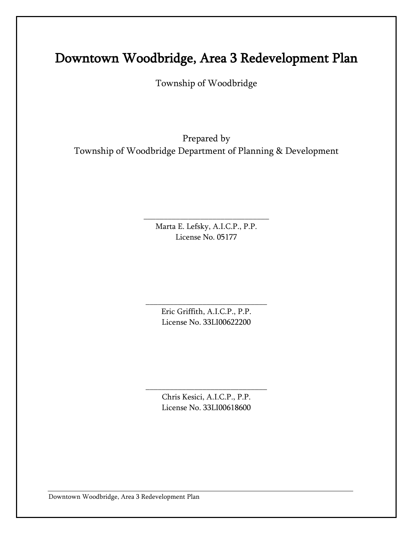Township of Woodbridge

Prepared by Township of Woodbridge Department of Planning & Development

> Marta E. Lefsky, A.I.C.P., P.P. License No. 05177

\_\_\_\_\_\_\_\_\_\_\_\_\_\_\_\_\_\_\_\_\_\_\_\_\_\_\_\_\_\_\_

Eric Griffith, A.I.C.P., P.P. License No. 33LI00622200

\_\_\_\_\_\_\_\_\_\_\_\_\_\_\_\_\_\_\_\_\_\_\_\_\_\_\_\_\_\_

Chris Kesici, A.I.C.P., P.P. License No. 33LI00618600

\_\_\_\_\_\_\_\_\_\_\_\_\_\_\_\_\_\_\_\_\_\_\_\_\_\_\_\_\_\_

Downtown Woodbridge, Area 3 Redevelopment Plan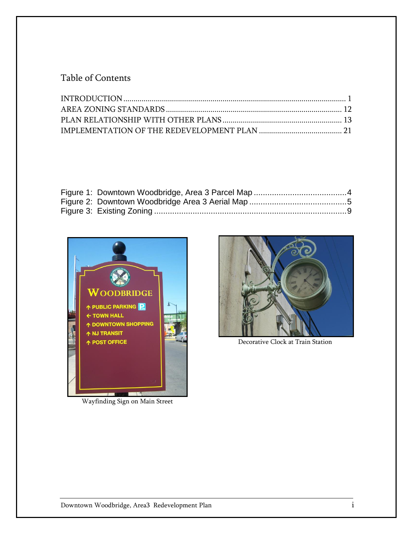#### Table of Contents



Wayfinding Sign on Main Street



Decorative Clock at Train Station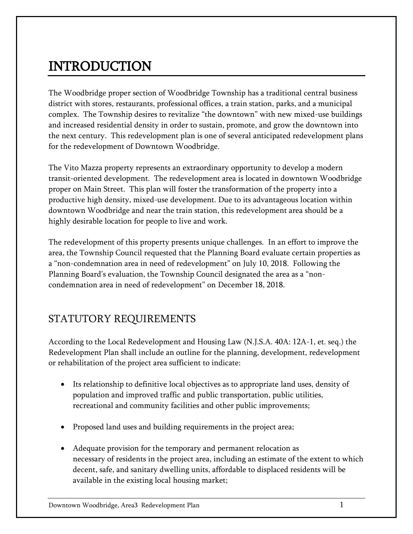# <span id="page-3-0"></span>INTRODUCTION

The Woodbridge proper section of Woodbridge Township has a traditional central business district with stores, restaurants, professional offices, a train station, parks, and a municipal complex. The Township desires to revitalize "the downtown" with new mixed-use buildings and increased residential density in order to sustain, promote, and grow the downtown into the next century. This redevelopment plan is one of several anticipated redevelopment plans for the redevelopment of Downtown Woodbridge.

The Vito Mazza property represents an extraordinary opportunity to develop a modern transit-oriented development. The redevelopment area is located in downtown Woodbridge proper on Main Street. This plan will foster the transformation of the property into a productive high density, mixed-use development. Due to its advantageous location within downtown Woodbridge and near the train station, this redevelopment area should be a highly desirable location for people to live and work.

The redevelopment of this property presents unique challenges. In an effort to improve the area, the Township Council requested that the Planning Board evaluate certain properties as a "non-condemnation area in need of redevelopment" on July 10, 2018. Following the Planning Board's evaluation, the Township Council designated the area as a "noncondemnation area in need of redevelopment" on December 18, 2018.

#### STATUTORY REQUIREMENTS

According to the Local Redevelopment and Housing Law (N.J.S.A. 40A: 12A-1, et. seq.) the Redevelopment Plan shall include an outline for the planning, development, redevelopment or rehabilitation of the project area sufficient to indicate:

- Its relationship to definitive local objectives as to appropriate land uses, density of population and improved traffic and public transportation, public utilities, recreational and community facilities and other public improvements;
- Proposed land uses and building requirements in the project area;
- Adequate provision for the temporary and permanent relocation as necessary of residents in the project area, including an estimate of the extent to which decent, safe, and sanitary dwelling units, affordable to displaced residents will be available in the existing local housing market;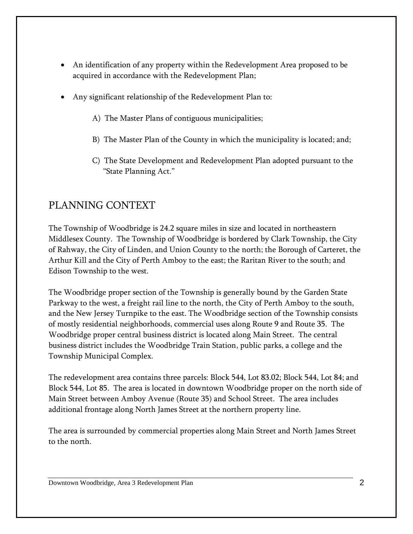- An identification of any property within the Redevelopment Area proposed to be acquired in accordance with the Redevelopment Plan;
- Any significant relationship of the Redevelopment Plan to:
	- A) The Master Plans of contiguous municipalities;
	- B) The Master Plan of the County in which the municipality is located; and;
	- C) The State Development and Redevelopment Plan adopted pursuant to the "State Planning Act."

#### PLANNING CONTEXT

The Township of Woodbridge is 24.2 square miles in size and located in northeastern Middlesex County. The Township of Woodbridge is bordered by Clark Township, the City of Rahway, the City of Linden, and Union County to the north; the Borough of Carteret, the Arthur Kill and the City of Perth Amboy to the east; the Raritan River to the south; and Edison Township to the west.

The Woodbridge proper section of the Township is generally bound by the Garden State Parkway to the west, a freight rail line to the north, the City of Perth Amboy to the south, and the New Jersey Turnpike to the east. The Woodbridge section of the Township consists of mostly residential neighborhoods, commercial uses along Route 9 and Route 35. The Woodbridge proper central business district is located along Main Street. The central business district includes the Woodbridge Train Station, public parks, a college and the Township Municipal Complex.

The redevelopment area contains three parcels: Block 544, Lot 83.02; Block 544, Lot 84; and Block 544, Lot 85. The area is located in downtown Woodbridge proper on the north side of Main Street between Amboy Avenue (Route 35) and School Street. The area includes additional frontage along North James Street at the northern property line.

The area is surrounded by commercial properties along Main Street and North James Street to the north.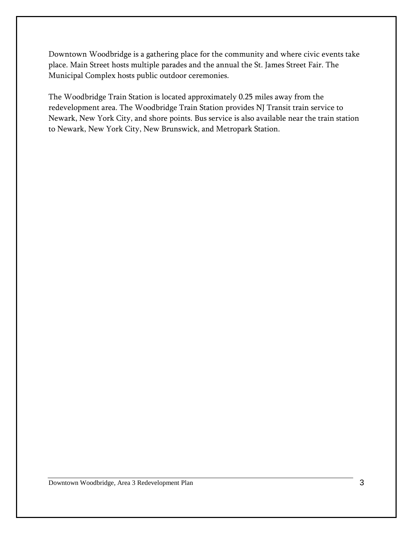Downtown Woodbridge is a gathering place for the community and where civic events take place. Main Street hosts multiple parades and the annual the St. James Street Fair. The Municipal Complex hosts public outdoor ceremonies.

The Woodbridge Train Station is located approximately 0.25 miles away from the redevelopment area. The Woodbridge Train Station provides NJ Transit train service to Newark, New York City, and shore points. Bus service is also available near the train station to Newark, New York City, New Brunswick, and Metropark Station.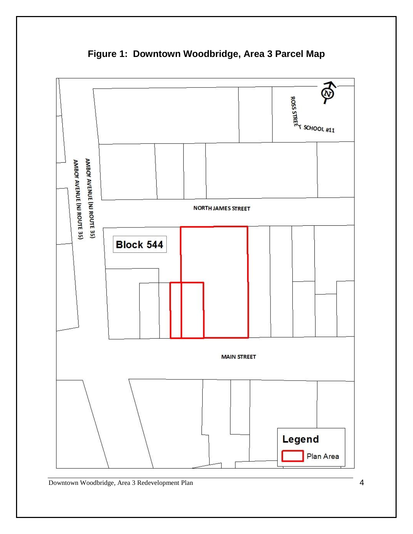<span id="page-6-0"></span>

**Figure 1: Downtown Woodbridge, Area 3 Parcel Map**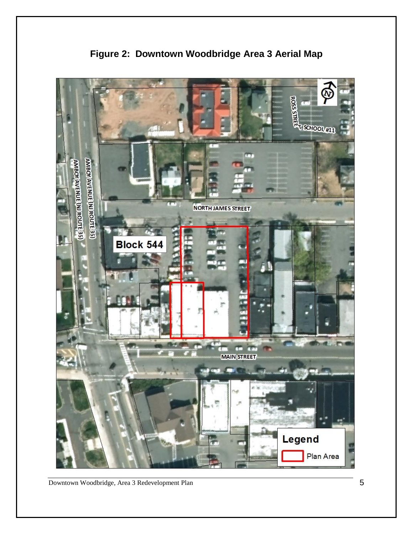<span id="page-7-0"></span>

**Figure 2: Downtown Woodbridge Area 3 Aerial Map**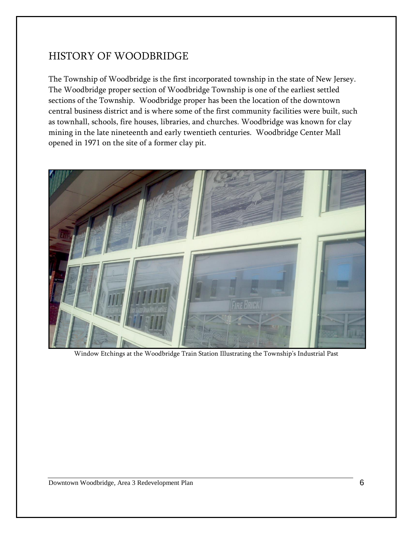#### HISTORY OF WOODBRIDGE

The Township of Woodbridge is the first incorporated township in the state of New Jersey. The Woodbridge proper section of Woodbridge Township is one of the earliest settled sections of the Township. Woodbridge proper has been the location of the downtown central business district and is where some of the first community facilities were built, such as townhall, schools, fire houses, libraries, and churches. Woodbridge was known for clay mining in the late nineteenth and early twentieth centuries. Woodbridge Center Mall opened in 1971 on the site of a former clay pit.



Window Etchings at the Woodbridge Train Station Illustrating the Township's Industrial Past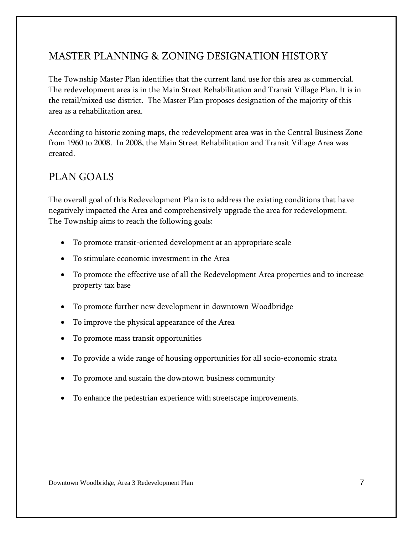#### MASTER PLANNING & ZONING DESIGNATION HISTORY

The Township Master Plan identifies that the current land use for this area as commercial. The redevelopment area is in the Main Street Rehabilitation and Transit Village Plan. It is in the retail/mixed use district. The Master Plan proposes designation of the majority of this area as a rehabilitation area.

According to historic zoning maps, the redevelopment area was in the Central Business Zone from 1960 to 2008. In 2008, the Main Street Rehabilitation and Transit Village Area was created.

#### PLAN GOALS

The overall goal of this Redevelopment Plan is to address the existing conditions that have negatively impacted the Area and comprehensively upgrade the area for redevelopment. The Township aims to reach the following goals:

- To promote transit-oriented development at an appropriate scale
- To stimulate economic investment in the Area
- To promote the effective use of all the Redevelopment Area properties and to increase property tax base
- To promote further new development in downtown Woodbridge
- To improve the physical appearance of the Area
- To promote mass transit opportunities
- To provide a wide range of housing opportunities for all socio-economic strata
- To promote and sustain the downtown business community
- To enhance the pedestrian experience with streetscape improvements.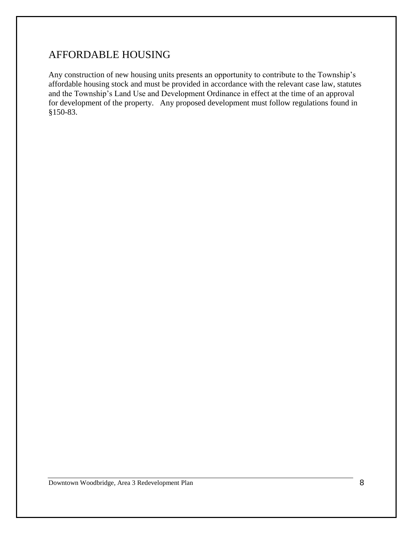#### AFFORDABLE HOUSING

Any construction of new housing units presents an opportunity to contribute to the Township's affordable housing stock and must be provided in accordance with the relevant case law, statutes and the Township's Land Use and Development Ordinance in effect at the time of an approval for development of the property. Any proposed development must follow regulations found in §150-83.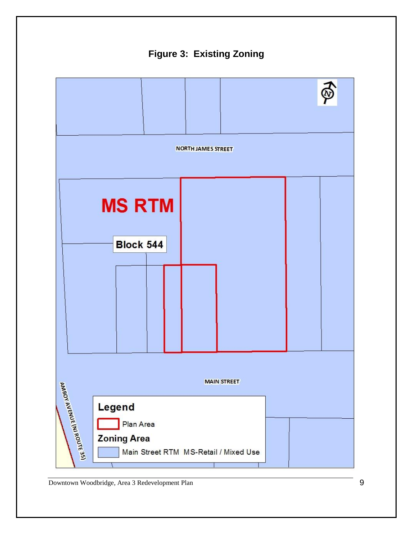<span id="page-11-0"></span>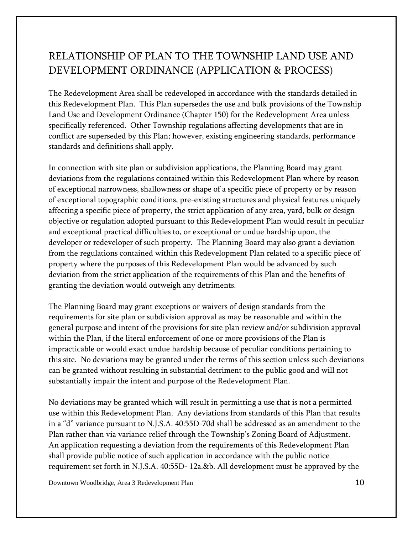### RELATIONSHIP OF PLAN TO THE TOWNSHIP LAND USE AND DEVELOPMENT ORDINANCE (APPLICATION & PROCESS)

The Redevelopment Area shall be redeveloped in accordance with the standards detailed in this Redevelopment Plan. This Plan supersedes the use and bulk provisions of the Township Land Use and Development Ordinance (Chapter 150) for the Redevelopment Area unless specifically referenced. Other Township regulations affecting developments that are in conflict are superseded by this Plan; however, existing engineering standards, performance standards and definitions shall apply.

In connection with site plan or subdivision applications, the Planning Board may grant deviations from the regulations contained within this Redevelopment Plan where by reason of exceptional narrowness, shallowness or shape of a specific piece of property or by reason of exceptional topographic conditions, pre-existing structures and physical features uniquely affecting a specific piece of property, the strict application of any area, yard, bulk or design objective or regulation adopted pursuant to this Redevelopment Plan would result in peculiar and exceptional practical difficulties to, or exceptional or undue hardship upon, the developer or redeveloper of such property. The Planning Board may also grant a deviation from the regulations contained within this Redevelopment Plan related to a specific piece of property where the purposes of this Redevelopment Plan would be advanced by such deviation from the strict application of the requirements of this Plan and the benefits of granting the deviation would outweigh any detriments.

The Planning Board may grant exceptions or waivers of design standards from the requirements for site plan or subdivision approval as may be reasonable and within the general purpose and intent of the provisions for site plan review and/or subdivision approval within the Plan, if the literal enforcement of one or more provisions of the Plan is impracticable or would exact undue hardship because of peculiar conditions pertaining to this site. No deviations may be granted under the terms of this section unless such deviations can be granted without resulting in substantial detriment to the public good and will not substantially impair the intent and purpose of the Redevelopment Plan.

No deviations may be granted which will result in permitting a use that is not a permitted use within this Redevelopment Plan. Any deviations from standards of this Plan that results in a "d" variance pursuant to N.J.S.A. 40:55D-70d shall be addressed as an amendment to the Plan rather than via variance relief through the Township's Zoning Board of Adjustment. An application requesting a deviation from the requirements of this Redevelopment Plan shall provide public notice of such application in accordance with the public notice requirement set forth in N.J.S.A. 40:55D- 12a.&b. All development must be approved by the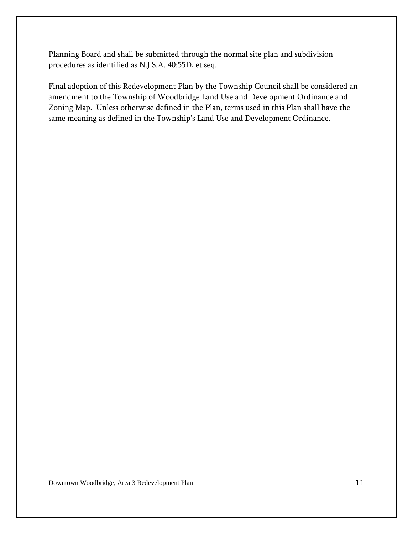Planning Board and shall be submitted through the normal site plan and subdivision procedures as identified as N.J.S.A. 40:55D, et seq.

Final adoption of this Redevelopment Plan by the Township Council shall be considered an amendment to the Township of Woodbridge Land Use and Development Ordinance and Zoning Map. Unless otherwise defined in the Plan, terms used in this Plan shall have the same meaning as defined in the Township's Land Use and Development Ordinance.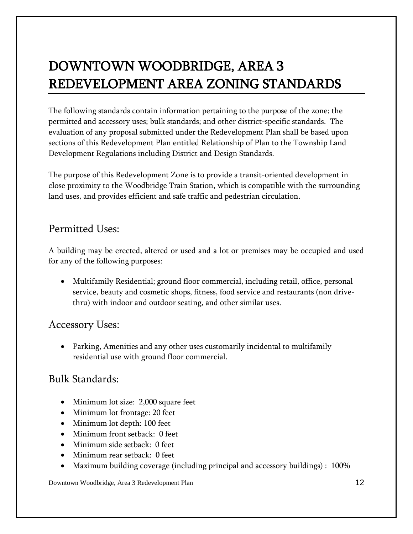# <span id="page-14-0"></span>DOWNTOWN WOODBRIDGE, AREA 3 REDEVELOPMENT AREA ZONING STANDARDS

The following standards contain information pertaining to the purpose of the zone; the permitted and accessory uses; bulk standards; and other district-specific standards. The evaluation of any proposal submitted under the Redevelopment Plan shall be based upon sections of this Redevelopment Plan entitled Relationship of Plan to the Township Land Development Regulations including District and Design Standards.

The purpose of this Redevelopment Zone is to provide a transit-oriented development in close proximity to the Woodbridge Train Station, which is compatible with the surrounding land uses, and provides efficient and safe traffic and pedestrian circulation.

#### Permitted Uses:

A building may be erected, altered or used and a lot or premises may be occupied and used for any of the following purposes:

 Multifamily Residential; ground floor commercial, including retail, office, personal service, beauty and cosmetic shops, fitness, food service and restaurants (non drivethru) with indoor and outdoor seating, and other similar uses.

#### Accessory Uses:

 Parking, Amenities and any other uses customarily incidental to multifamily residential use with ground floor commercial.

#### Bulk Standards:

- Minimum lot size: 2,000 square feet
- Minimum lot frontage: 20 feet
- Minimum lot depth: 100 feet
- Minimum front setback: 0 feet
- Minimum side setback: 0 feet
- Minimum rear setback: 0 feet
- Maximum building coverage (including principal and accessory buildings) : 100%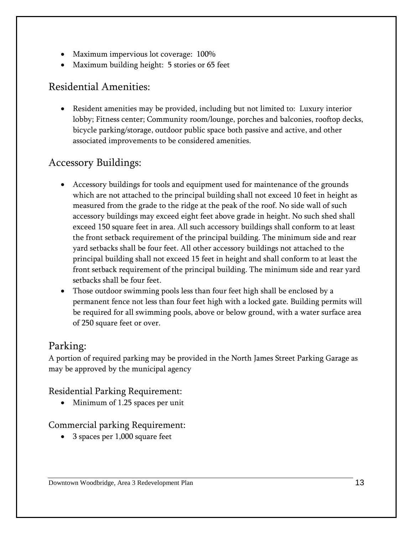- Maximum impervious lot coverage: 100%
- Maximum building height: 5 stories or 65 feet

#### Residential Amenities:

 Resident amenities may be provided, including but not limited to: Luxury interior lobby; Fitness center; Community room/lounge, porches and balconies, rooftop decks, bicycle parking/storage, outdoor public space both passive and active, and other associated improvements to be considered amenities.

#### Accessory Buildings:

- Accessory buildings for tools and equipment used for maintenance of the grounds which are not attached to the principal building shall not exceed 10 feet in height as measured from the grade to the ridge at the peak of the roof. No side wall of such accessory buildings may exceed eight feet above grade in height. No such shed shall exceed 150 square feet in area. All such accessory buildings shall conform to at least the front setback requirement of the principal building. The minimum side and rear yard setbacks shall be four feet. All other accessory buildings not attached to the principal building shall not exceed 15 feet in height and shall conform to at least the front setback requirement of the principal building. The minimum side and rear yard setbacks shall be four feet.
- Those outdoor swimming pools less than four feet high shall be enclosed by a permanent fence not less than four feet high with a locked gate. Building permits will be required for all swimming pools, above or below ground, with a water surface area of 250 square feet or over.

#### <span id="page-15-0"></span>Parking:

A portion of required parking may be provided in the North James Street Parking Garage as may be approved by the municipal agency

Residential Parking Requirement:

• Minimum of 1.25 spaces per unit

#### Commercial parking Requirement:

• 3 spaces per 1,000 square feet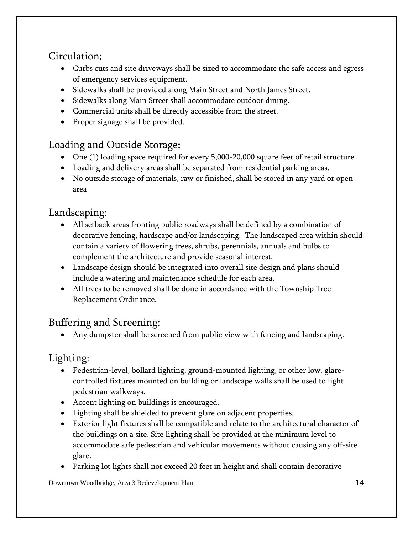### Circulation:

- Curbs cuts and site driveways shall be sized to accommodate the safe access and egress of emergency services equipment.
- Sidewalks shall be provided along Main Street and North James Street.
- Sidewalks along Main Street shall accommodate outdoor dining.
- Commercial units shall be directly accessible from the street.
- Proper signage shall be provided.

### Loading and Outside Storage:

- One (1) loading space required for every 5,000-20,000 square feet of retail structure
- Loading and delivery areas shall be separated from residential parking areas.
- No outside storage of materials, raw or finished, shall be stored in any yard or open area

### Landscaping:

- All setback areas fronting public roadways shall be defined by a combination of decorative fencing, hardscape and/or landscaping. The landscaped area within should contain a variety of flowering trees, shrubs, perennials, annuals and bulbs to complement the architecture and provide seasonal interest.
- Landscape design should be integrated into overall site design and plans should include a watering and maintenance schedule for each area.
- All trees to be removed shall be done in accordance with the Township Tree Replacement Ordinance.

### Buffering and Screening:

Any dumpster shall be screened from public view with fencing and landscaping.

#### Lighting:

- Pedestrian-level, bollard lighting, ground-mounted lighting, or other low, glarecontrolled fixtures mounted on building or landscape walls shall be used to light pedestrian walkways.
- Accent lighting on buildings is encouraged.
- Lighting shall be shielded to prevent glare on adjacent properties.
- Exterior light fixtures shall be compatible and relate to the architectural character of the buildings on a site. Site lighting shall be provided at the minimum level to accommodate safe pedestrian and vehicular movements without causing any off-site glare.
- Parking lot lights shall not exceed 20 feet in height and shall contain decorative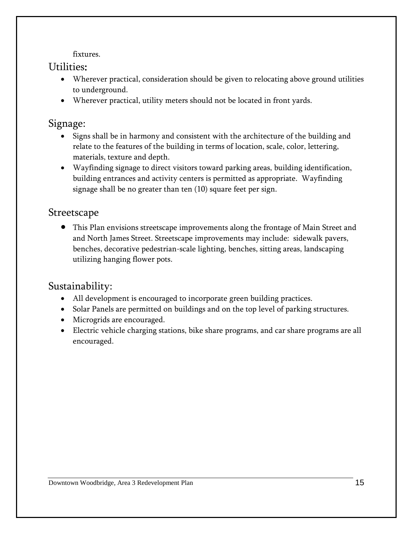fixtures.

#### Utilities:

- Wherever practical, consideration should be given to relocating above ground utilities to underground.
- Wherever practical, utility meters should not be located in front yards.

#### Signage:

- Signs shall be in harmony and consistent with the architecture of the building and relate to the features of the building in terms of location, scale, color, lettering, materials, texture and depth.
- Wayfinding signage to direct visitors toward parking areas, building identification, building entrances and activity centers is permitted as appropriate. Wayfinding signage shall be no greater than ten (10) square feet per sign.

#### Streetscape

 This Plan envisions streetscape improvements along the frontage of Main Street and and North James Street. Streetscape improvements may include: sidewalk pavers, benches, decorative pedestrian-scale lighting, benches, sitting areas, landscaping utilizing hanging flower pots.

#### Sustainability:

- All development is encouraged to incorporate green building practices.
- Solar Panels are permitted on buildings and on the top level of parking structures.
- Microgrids are encouraged.
- Electric vehicle charging stations, bike share programs, and car share programs are all encouraged.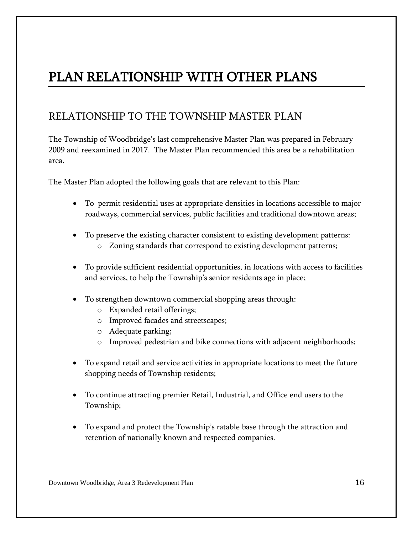# PLAN RELATIONSHIP WITH OTHER PLANS

#### RELATIONSHIP TO THE TOWNSHIP MASTER PLAN

The Township of Woodbridge's last comprehensive Master Plan was prepared in February 2009 and reexamined in 2017. The Master Plan recommended this area be a rehabilitation area.

The Master Plan adopted the following goals that are relevant to this Plan:

- To permit residential uses at appropriate densities in locations accessible to major roadways, commercial services, public facilities and traditional downtown areas;
- To preserve the existing character consistent to existing development patterns: o Zoning standards that correspond to existing development patterns;
- To provide sufficient residential opportunities, in locations with access to facilities and services, to help the Township's senior residents age in place;
- To strengthen downtown commercial shopping areas through:
	- o Expanded retail offerings;
	- o Improved facades and streetscapes;
	- o Adequate parking;
	- o Improved pedestrian and bike connections with adjacent neighborhoods;
- To expand retail and service activities in appropriate locations to meet the future shopping needs of Township residents;
- To continue attracting premier Retail, Industrial, and Office end users to the Township;
- To expand and protect the Township's ratable base through the attraction and retention of nationally known and respected companies.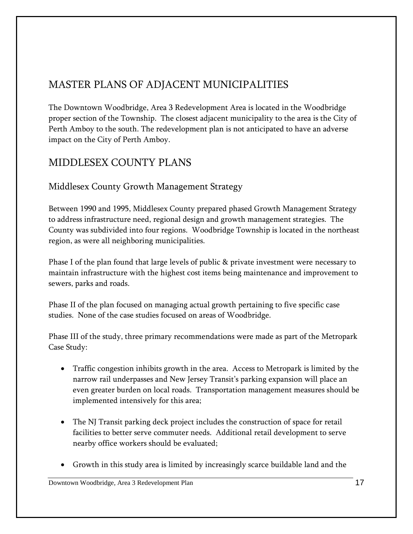### MASTER PLANS OF ADJACENT MUNICIPALITIES

The Downtown Woodbridge, Area 3 Redevelopment Area is located in the Woodbridge proper section of the Township. The closest adjacent municipality to the area is the City of Perth Amboy to the south. The redevelopment plan is not anticipated to have an adverse impact on the City of Perth Amboy.

### MIDDLESEX COUNTY PLANS

#### Middlesex County Growth Management Strategy

Between 1990 and 1995, Middlesex County prepared phased Growth Management Strategy to address infrastructure need, regional design and growth management strategies. The County was subdivided into four regions. Woodbridge Township is located in the northeast region, as were all neighboring municipalities.

Phase I of the plan found that large levels of public & private investment were necessary to maintain infrastructure with the highest cost items being maintenance and improvement to sewers, parks and roads.

Phase II of the plan focused on managing actual growth pertaining to five specific case studies. None of the case studies focused on areas of Woodbridge.

Phase III of the study, three primary recommendations were made as part of the Metropark Case Study:

- Traffic congestion inhibits growth in the area. Access to Metropark is limited by the narrow rail underpasses and New Jersey Transit's parking expansion will place an even greater burden on local roads. Transportation management measures should be implemented intensively for this area;
- The NJ Transit parking deck project includes the construction of space for retail facilities to better serve commuter needs. Additional retail development to serve nearby office workers should be evaluated;
- Growth in this study area is limited by increasingly scarce buildable land and the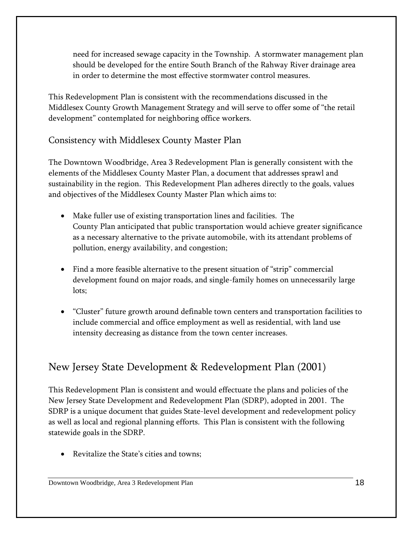need for increased sewage capacity in the Township. A stormwater management plan should be developed for the entire South Branch of the Rahway River drainage area in order to determine the most effective stormwater control measures.

This Redevelopment Plan is consistent with the recommendations discussed in the Middlesex County Growth Management Strategy and will serve to offer some of "the retail development" contemplated for neighboring office workers.

#### Consistency with Middlesex County Master Plan

The Downtown Woodbridge, Area 3 Redevelopment Plan is generally consistent with the elements of the Middlesex County Master Plan, a document that addresses sprawl and sustainability in the region. This Redevelopment Plan adheres directly to the goals, values and objectives of the Middlesex County Master Plan which aims to:

- Make fuller use of existing transportation lines and facilities. The County Plan anticipated that public transportation would achieve greater significance as a necessary alternative to the private automobile, with its attendant problems of pollution, energy availability, and congestion;
- Find a more feasible alternative to the present situation of "strip" commercial development found on major roads, and single-family homes on unnecessarily large lots;
- "Cluster" future growth around definable town centers and transportation facilities to include commercial and office employment as well as residential, with land use intensity decreasing as distance from the town center increases.

### New Jersey State Development & Redevelopment Plan (2001)

This Redevelopment Plan is consistent and would effectuate the plans and policies of the New Jersey State Development and Redevelopment Plan (SDRP), adopted in 2001. The SDRP is a unique document that guides State-level development and redevelopment policy as well as local and regional planning efforts. This Plan is consistent with the following statewide goals in the SDRP.

Revitalize the State's cities and towns;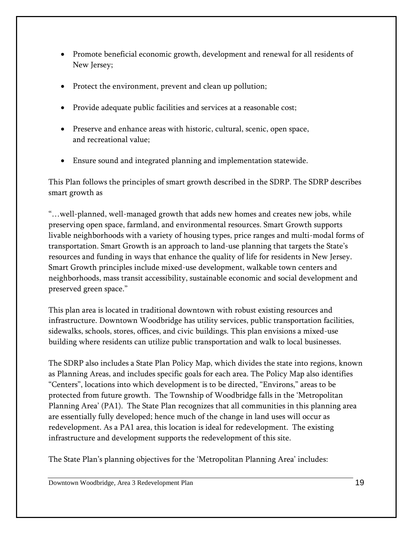- Promote beneficial economic growth, development and renewal for all residents of New Jersey;
- Protect the environment, prevent and clean up pollution;
- Provide adequate public facilities and services at a reasonable cost;
- Preserve and enhance areas with historic, cultural, scenic, open space, and recreational value;
- Ensure sound and integrated planning and implementation statewide.

This Plan follows the principles of smart growth described in the SDRP. The SDRP describes smart growth as

"…well-planned, well-managed growth that adds new homes and creates new jobs, while preserving open space, farmland, and environmental resources. Smart Growth supports livable neighborhoods with a variety of housing types, price ranges and multi-modal forms of transportation. Smart Growth is an approach to land-use planning that targets the State's resources and funding in ways that enhance the quality of life for residents in New Jersey. Smart Growth principles include mixed-use development, walkable town centers and neighborhoods, mass transit accessibility, sustainable economic and social development and preserved green space."

This plan area is located in traditional downtown with robust existing resources and infrastructure. Downtown Woodbridge has utility services, public transportation facilities, sidewalks, schools, stores, offices, and civic buildings. This plan envisions a mixed-use building where residents can utilize public transportation and walk to local businesses.

The SDRP also includes a State Plan Policy Map, which divides the state into regions, known as Planning Areas, and includes specific goals for each area. The Policy Map also identifies "Centers", locations into which development is to be directed, "Environs," areas to be protected from future growth. The Township of Woodbridge falls in the 'Metropolitan Planning Area' (PA1). The State Plan recognizes that all communities in this planning area are essentially fully developed; hence much of the change in land uses will occur as redevelopment. As a PA1 area, this location is ideal for redevelopment. The existing infrastructure and development supports the redevelopment of this site.

The State Plan's planning objectives for the 'Metropolitan Planning Area' includes: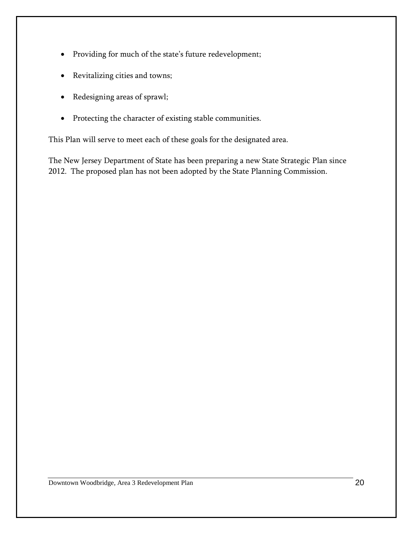- Providing for much of the state's future redevelopment;
- Revitalizing cities and towns;
- Redesigning areas of sprawl;
- Protecting the character of existing stable communities.

This Plan will serve to meet each of these goals for the designated area.

The New Jersey Department of State has been preparing a new State Strategic Plan since 2012. The proposed plan has not been adopted by the State Planning Commission.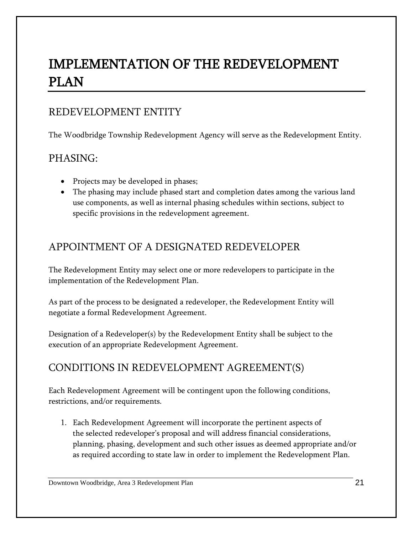# <span id="page-23-0"></span>IMPLEMENTATION OF THE REDEVELOPMENT PLAN

#### REDEVELOPMENT ENTITY

The Woodbridge Township Redevelopment Agency will serve as the Redevelopment Entity.

#### PHASING:

- Projects may be developed in phases;
- The phasing may include phased start and completion dates among the various land use components, as well as internal phasing schedules within sections, subject to specific provisions in the redevelopment agreement.

#### APPOINTMENT OF A DESIGNATED REDEVELOPER

The Redevelopment Entity may select one or more redevelopers to participate in the implementation of the Redevelopment Plan.

As part of the process to be designated a redeveloper, the Redevelopment Entity will negotiate a formal Redevelopment Agreement.

Designation of a Redeveloper(s) by the Redevelopment Entity shall be subject to the execution of an appropriate Redevelopment Agreement.

### CONDITIONS IN REDEVELOPMENT AGREEMENT(S)

Each Redevelopment Agreement will be contingent upon the following conditions, restrictions, and/or requirements.

1. Each Redevelopment Agreement will incorporate the pertinent aspects of the selected redeveloper's proposal and will address financial considerations, planning, phasing, development and such other issues as deemed appropriate and/or as required according to state law in order to implement the Redevelopment Plan.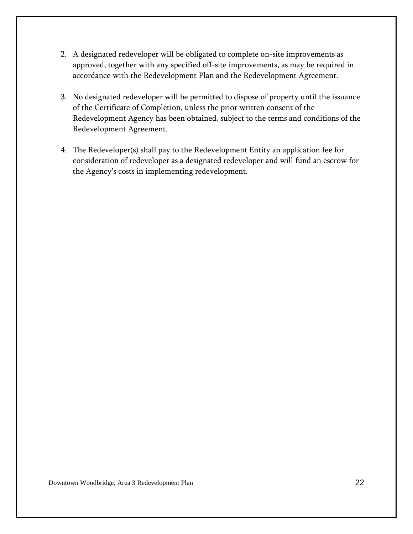- 2. A designated redeveloper will be obligated to complete on-site improvements as approved, together with any specified off-site improvements, as may be required in accordance with the Redevelopment Plan and the Redevelopment Agreement.
- 3. No designated redeveloper will be permitted to dispose of property until the issuance of the Certificate of Completion, unless the prior written consent of the Redevelopment Agency has been obtained, subject to the terms and conditions of the Redevelopment Agreement.
- 4. The Redeveloper(s) shall pay to the Redevelopment Entity an application fee for consideration of redeveloper as a designated redeveloper and will fund an escrow for the Agency's costs in implementing redevelopment.